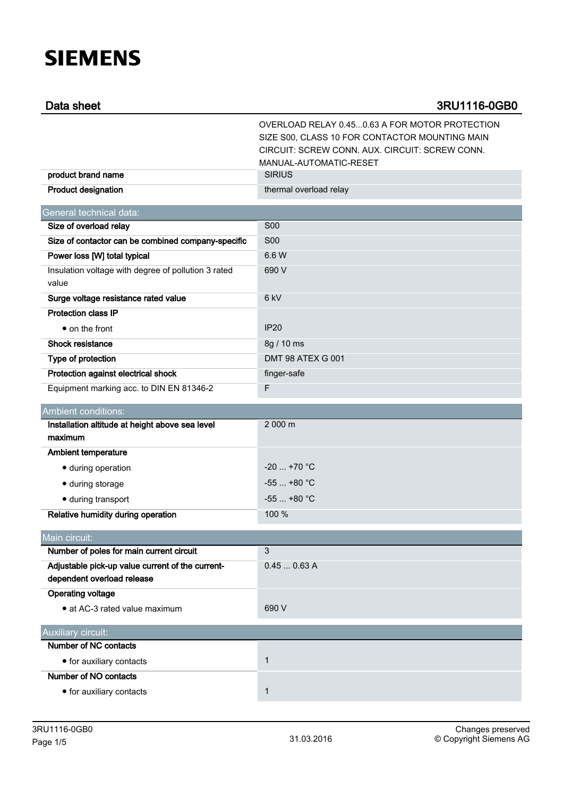## **SIEMENS**

| Data sheet                                                                     | 3RU1116-0GB0                                                                                                                                                                 |  |  |  |
|--------------------------------------------------------------------------------|------------------------------------------------------------------------------------------------------------------------------------------------------------------------------|--|--|--|
|                                                                                | OVERLOAD RELAY 0.450.63 A FOR MOTOR PROTECTION<br>SIZE S00, CLASS 10 FOR CONTACTOR MOUNTING MAIN<br>CIRCUIT: SCREW CONN. AUX. CIRCUIT: SCREW CONN.<br>MANUAL-AUTOMATIC-RESET |  |  |  |
| product brand name                                                             | <b>SIRIUS</b>                                                                                                                                                                |  |  |  |
| <b>Product designation</b>                                                     | thermal overload relay                                                                                                                                                       |  |  |  |
| General technical data:                                                        |                                                                                                                                                                              |  |  |  |
| Size of overload relay                                                         | <b>S00</b>                                                                                                                                                                   |  |  |  |
| Size of contactor can be combined company-specific                             | <b>S00</b>                                                                                                                                                                   |  |  |  |
| Power loss [W] total typical                                                   | 6.6 W                                                                                                                                                                        |  |  |  |
| Insulation voltage with degree of pollution 3 rated<br>value                   | 690 V                                                                                                                                                                        |  |  |  |
| Surge voltage resistance rated value                                           | 6 kV                                                                                                                                                                         |  |  |  |
| <b>Protection class IP</b>                                                     |                                                                                                                                                                              |  |  |  |
| • on the front                                                                 | <b>IP20</b>                                                                                                                                                                  |  |  |  |
| <b>Shock resistance</b>                                                        | 8g / 10 ms                                                                                                                                                                   |  |  |  |
| Type of protection                                                             | DMT 98 ATEX G 001                                                                                                                                                            |  |  |  |
| Protection against electrical shock                                            | finger-safe                                                                                                                                                                  |  |  |  |
| Equipment marking acc. to DIN EN 81346-2                                       | F                                                                                                                                                                            |  |  |  |
| <b>Ambient conditions:</b>                                                     |                                                                                                                                                                              |  |  |  |
| Installation altitude at height above sea level                                | 2 000 m                                                                                                                                                                      |  |  |  |
| maximum                                                                        |                                                                                                                                                                              |  |  |  |
| <b>Ambient temperature</b>                                                     |                                                                                                                                                                              |  |  |  |
| · during operation                                                             | $-20$ +70 °C                                                                                                                                                                 |  |  |  |
| · during storage                                                               | $-55+80$ °C                                                                                                                                                                  |  |  |  |
| · during transport                                                             | $-55+80 °C$                                                                                                                                                                  |  |  |  |
| Relative humidity during operation                                             | 100 %                                                                                                                                                                        |  |  |  |
| Main circuit:                                                                  |                                                                                                                                                                              |  |  |  |
| Number of poles for main current circuit                                       | 3                                                                                                                                                                            |  |  |  |
| Adjustable pick-up value current of the current-<br>dependent overload release | 0.450.63A                                                                                                                                                                    |  |  |  |
| <b>Operating voltage</b>                                                       |                                                                                                                                                                              |  |  |  |
| • at AC-3 rated value maximum                                                  | 690 V                                                                                                                                                                        |  |  |  |
| Auxiliary circuit:                                                             |                                                                                                                                                                              |  |  |  |
| Number of NC contacts                                                          |                                                                                                                                                                              |  |  |  |
| • for auxiliary contacts                                                       | $\mathbf{1}$                                                                                                                                                                 |  |  |  |
| Number of NO contacts                                                          |                                                                                                                                                                              |  |  |  |
| • for auxiliary contacts                                                       | $\mathbf{1}$                                                                                                                                                                 |  |  |  |
|                                                                                |                                                                                                                                                                              |  |  |  |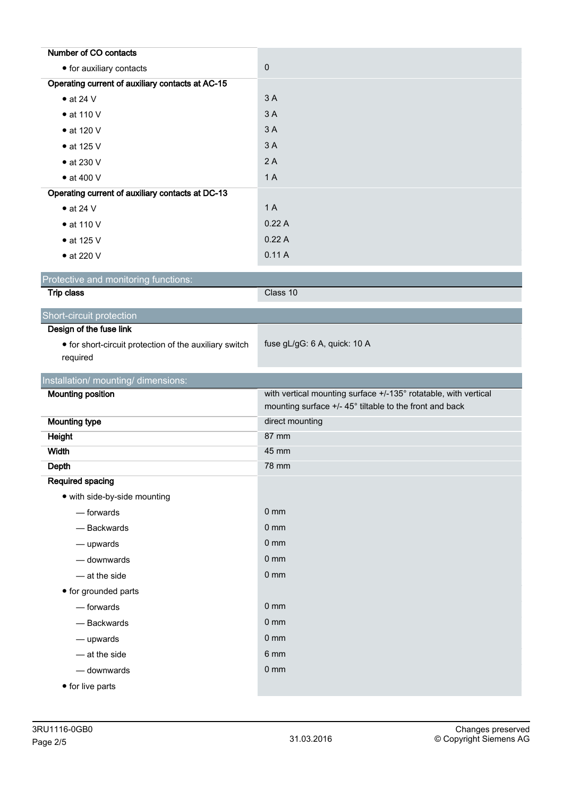| Number of CO contacts                                  |                                                                            |  |  |  |
|--------------------------------------------------------|----------------------------------------------------------------------------|--|--|--|
| • for auxiliary contacts                               | $\pmb{0}$                                                                  |  |  |  |
| Operating current of auxiliary contacts at AC-15       |                                                                            |  |  |  |
| $\bullet$ at 24 V                                      | 3A                                                                         |  |  |  |
| $\bullet$ at 110 V                                     | 3A                                                                         |  |  |  |
| • at 120 V                                             | 3A                                                                         |  |  |  |
| $\bullet$ at 125 V                                     | 3A                                                                         |  |  |  |
| • at 230 V                                             | 2A                                                                         |  |  |  |
| $\bullet$ at 400 V                                     | 1A                                                                         |  |  |  |
| Operating current of auxiliary contacts at DC-13       |                                                                            |  |  |  |
| $\bullet$ at 24 V                                      | 1A                                                                         |  |  |  |
| $\bullet$ at 110 V                                     | 0.22A                                                                      |  |  |  |
| • at 125 V                                             | 0.22A                                                                      |  |  |  |
| • at 220 V                                             | 0.11A                                                                      |  |  |  |
| Protective and monitoring functions:                   |                                                                            |  |  |  |
| <b>Trip class</b>                                      | Class 10                                                                   |  |  |  |
|                                                        |                                                                            |  |  |  |
| Short-circuit protection<br>Design of the fuse link    |                                                                            |  |  |  |
| • for short-circuit protection of the auxiliary switch | fuse gL/gG: 6 A, quick: 10 A                                               |  |  |  |
| required                                               |                                                                            |  |  |  |
|                                                        |                                                                            |  |  |  |
|                                                        |                                                                            |  |  |  |
| Installation/ mounting/ dimensions:                    |                                                                            |  |  |  |
| <b>Mounting position</b>                               | with vertical mounting surface +/-135° rotatable, with vertical            |  |  |  |
| <b>Mounting type</b>                                   | mounting surface +/- 45° tiltable to the front and back<br>direct mounting |  |  |  |
| Height                                                 | 87 mm                                                                      |  |  |  |
| <b>Width</b>                                           | 45 mm                                                                      |  |  |  |
| Depth                                                  | 78 mm                                                                      |  |  |  |
| Required spacing                                       |                                                                            |  |  |  |
| • with side-by-side mounting                           |                                                                            |  |  |  |
| - forwards                                             | $0 \text{ mm}$                                                             |  |  |  |
| - Backwards                                            | $0 \text{ mm}$                                                             |  |  |  |
| - upwards                                              | $0 \text{ mm}$                                                             |  |  |  |
| - downwards                                            | 0 <sub>mm</sub>                                                            |  |  |  |
| - at the side                                          | $0 \text{ mm}$                                                             |  |  |  |
| • for grounded parts                                   |                                                                            |  |  |  |
| - forwards                                             | $0 \text{ mm}$                                                             |  |  |  |
| - Backwards                                            | 0 <sub>mm</sub>                                                            |  |  |  |
| - upwards                                              | 0 <sub>mm</sub>                                                            |  |  |  |
| - at the side                                          | 6 mm                                                                       |  |  |  |
| - downwards                                            | $0 \text{ mm}$                                                             |  |  |  |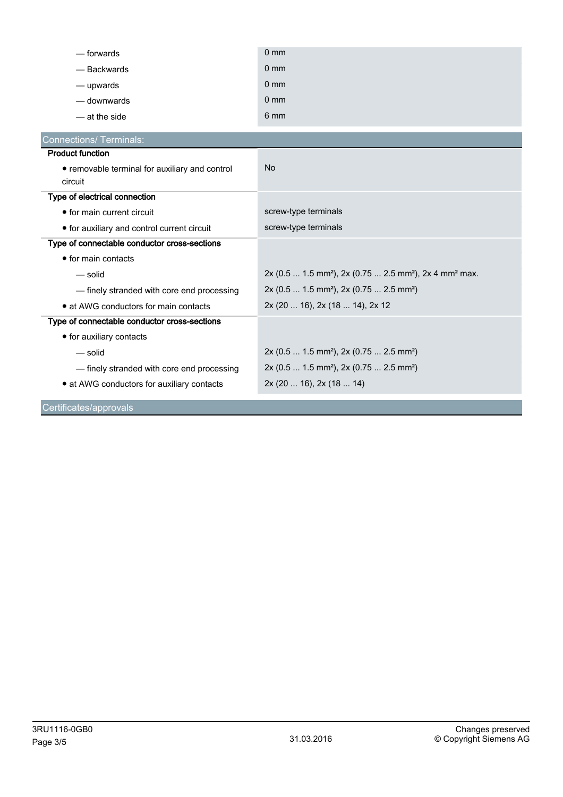| — forwards                                     | 0 <sub>mm</sub>                                                                            |
|------------------------------------------------|--------------------------------------------------------------------------------------------|
| - Backwards                                    | 0 <sub>mm</sub>                                                                            |
| - upwards                                      | $0 \text{ mm}$                                                                             |
| — downwards                                    | 0 <sub>mm</sub>                                                                            |
| — at the side                                  | 6 mm                                                                                       |
|                                                |                                                                                            |
| <b>Connections/ Terminals:</b>                 |                                                                                            |
| <b>Product function</b>                        |                                                                                            |
| • removable terminal for auxiliary and control | <b>No</b>                                                                                  |
| circuit                                        |                                                                                            |
| Type of electrical connection                  |                                                                                            |
| • for main current circuit                     | screw-type terminals                                                                       |
| • for auxiliary and control current circuit    | screw-type terminals                                                                       |
| Type of connectable conductor cross-sections   |                                                                                            |
| • for main contacts                            |                                                                                            |
| $-$ solid                                      | 2x (0.5  1.5 mm <sup>2</sup> ), 2x (0.75  2.5 mm <sup>2</sup> ), 2x 4 mm <sup>2</sup> max. |
| - finely stranded with core end processing     | 2x (0.5  1.5 mm <sup>2</sup> ), 2x (0.75  2.5 mm <sup>2</sup> )                            |
| • at AWG conductors for main contacts          | 2x (20  16), 2x (18  14), 2x 12                                                            |
| Type of connectable conductor cross-sections   |                                                                                            |
| • for auxiliary contacts                       |                                                                                            |
| — solid                                        | $2x (0.5  1.5 mm2)$ , $2x (0.75  2.5 mm2)$                                                 |
| - finely stranded with core end processing     | 2x (0.5  1.5 mm <sup>2</sup> ), 2x (0.75  2.5 mm <sup>2</sup> )                            |
| • at AWG conductors for auxiliary contacts     | 2x (20  16), 2x (18  14)                                                                   |
| Certificates/approvals                         |                                                                                            |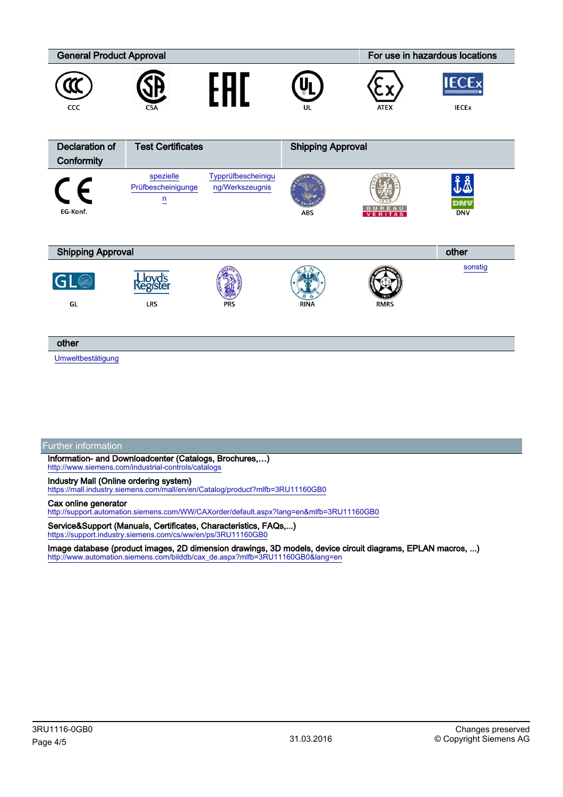| <b>General Product Approval</b>     |                                                   |                                       |                          |                                 | For use in hazardous locations |  |
|-------------------------------------|---------------------------------------------------|---------------------------------------|--------------------------|---------------------------------|--------------------------------|--|
| CCC                                 | <b>CSA</b>                                        |                                       | UL                       | <b>ATEX</b>                     | <b>IECEX</b>                   |  |
| <b>Declaration of</b><br>Conformity | <b>Test Certificates</b>                          |                                       | <b>Shipping Approval</b> |                                 |                                |  |
| $\epsilon$<br>EG-Konf.              | spezielle<br>Prüfbescheinigunge<br>$\overline{u}$ | Typprüfbescheinigu<br>ng/Werkszeugnis | ABS                      | <b>BUREAU</b><br><b>VERITAS</b> | ĬÃ<br>DNV<br><b>DNV</b>        |  |
| <b>Shipping Approval</b>            |                                                   |                                       |                          |                                 | other                          |  |
| G<br>GL                             | <b>Joyd's</b><br>egister<br>LRS                   | <b>PRS</b>                            | <b>RINA</b>              | <b>RMRS</b>                     | sonstig                        |  |
| other                               |                                                   |                                       |                          |                                 |                                |  |

[Umweltbestätigung](https://support.industry.siemens.com/cs/WW/en/ps/3RU1116-0GB0/Certificate?ct=447&ci=498&cao=553)

## Further information

Information- and Downloadcenter (Catalogs, Brochures,…) <http://www.siemens.com/industrial-controls/catalogs>

Industry Mall (Online ordering system)

<https://mall.industry.siemens.com/mall/en/en/Catalog/product?mlfb=3RU11160GB0>

## Cax online generator

<http://support.automation.siemens.com/WW/CAXorder/default.aspx?lang=en&mlfb=3RU11160GB0>

Service&Support (Manuals, Certificates, Characteristics, FAQs,...) <https://support.industry.siemens.com/cs/ww/en/ps/3RU11160GB0>

Image database (product images, 2D dimension drawings, 3D models, device circuit diagrams, EPLAN macros, ...) [http://www.automation.siemens.com/bilddb/cax\\_de.aspx?mlfb=3RU11160GB0&lang=en](http://www.automation.siemens.com/bilddb/cax_de.aspx?mlfb=3RU11160GB0&lang=en)